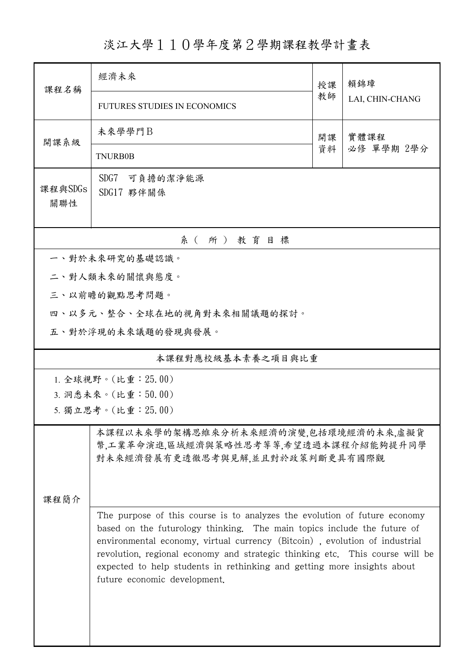## 淡江大學110學年度第2學期課程教學計畫表

| 課程名稱                                                                                                                                                                                                                                                                                                                                                                                                                                                                                                                                                      | 經濟未來                                |          | 賴錦璋                |  |  |  |  |
|-----------------------------------------------------------------------------------------------------------------------------------------------------------------------------------------------------------------------------------------------------------------------------------------------------------------------------------------------------------------------------------------------------------------------------------------------------------------------------------------------------------------------------------------------------------|-------------------------------------|----------|--------------------|--|--|--|--|
|                                                                                                                                                                                                                                                                                                                                                                                                                                                                                                                                                           | <b>FUTURES STUDIES IN ECONOMICS</b> | 教師       | LAI, CHIN-CHANG    |  |  |  |  |
| 開課系級                                                                                                                                                                                                                                                                                                                                                                                                                                                                                                                                                      | 未來學學門B                              | 開課<br>資料 | 實體課程<br>必修 單學期 2學分 |  |  |  |  |
|                                                                                                                                                                                                                                                                                                                                                                                                                                                                                                                                                           | <b>TNURB0B</b>                      |          |                    |  |  |  |  |
| 課程與SDGs<br>關聯性                                                                                                                                                                                                                                                                                                                                                                                                                                                                                                                                            | SDG7<br>可負擔的潔淨能源<br>SDG17 夥伴關係      |          |                    |  |  |  |  |
| 系(所)教育目標                                                                                                                                                                                                                                                                                                                                                                                                                                                                                                                                                  |                                     |          |                    |  |  |  |  |
| 一、對於未來研究的基礎認識。                                                                                                                                                                                                                                                                                                                                                                                                                                                                                                                                            |                                     |          |                    |  |  |  |  |
|                                                                                                                                                                                                                                                                                                                                                                                                                                                                                                                                                           | 二、對人類未來的關懷與態度。                      |          |                    |  |  |  |  |
|                                                                                                                                                                                                                                                                                                                                                                                                                                                                                                                                                           | 三、以前瞻的觀點思考問題。                       |          |                    |  |  |  |  |
| 四、以多元、整合、全球在地的視角對未來相關議題的探討。                                                                                                                                                                                                                                                                                                                                                                                                                                                                                                                               |                                     |          |                    |  |  |  |  |
|                                                                                                                                                                                                                                                                                                                                                                                                                                                                                                                                                           | 五、對於浮現的未來議題的發現與發展。                  |          |                    |  |  |  |  |
| 本課程對應校級基本素養之項目與比重                                                                                                                                                                                                                                                                                                                                                                                                                                                                                                                                         |                                     |          |                    |  |  |  |  |
| 1. 全球視野。(比重: 25.00)                                                                                                                                                                                                                                                                                                                                                                                                                                                                                                                                       |                                     |          |                    |  |  |  |  |
| 3. 洞悉未來。(比重:50.00)                                                                                                                                                                                                                                                                                                                                                                                                                                                                                                                                        |                                     |          |                    |  |  |  |  |
| 5. 獨立思考。(比重: 25.00)                                                                                                                                                                                                                                                                                                                                                                                                                                                                                                                                       |                                     |          |                    |  |  |  |  |
| 本課程以未來學的架構思維來分析未來經濟的演變,包括環境經濟的未來,虛擬貨<br>幣,工業革命演進,區域經濟與策略性思考等等,希望透過本課程介紹能夠提升同學<br>對未來經濟發展有更透徹思考與見解,並且對於政策判斷更具有國際觀<br>課程簡介<br>The purpose of this course is to analyzes the evolution of future economy<br>based on the futurology thinking. The main topics include the future of<br>environmental economy, virtual currency (Bitcoin), evolution of industrial<br>revolution, regional economy and strategic thinking etc. This course will be<br>expected to help students in rethinking and getting more insights about<br>future economic development. |                                     |          |                    |  |  |  |  |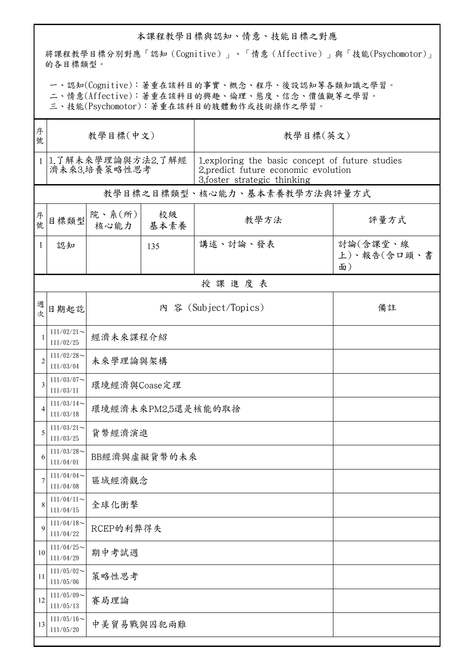## 本課程教學目標與認知、情意、技能目標之對應

將課程教學目標分別對應「認知(Cognitive)」、「情意(Affective)」與「技能(Psychomotor)」 的各目標類型。

一、認知(Cognitive):著重在該科目的事實、概念、程序、後設認知等各類知識之學習。

二、情意(Affective):著重在該科目的興趣、倫理、態度、信念、價值觀等之學習。

三、技能(Psychomotor):著重在該科目的肢體動作或技術操作之學習。

| 序<br>號         | 教學目標(中文)                          |                            |            | 教學目標(英文)                                                                                                               |                               |  |  |  |  |
|----------------|-----------------------------------|----------------------------|------------|------------------------------------------------------------------------------------------------------------------------|-------------------------------|--|--|--|--|
| $\mathbf{1}$   | 1.了解未來學理論與方法2.了解經<br>濟未來3.培養策略性思考 |                            |            | 1. exploring the basic concept of future studies<br>2.predict future economic evolution<br>3.foster strategic thinking |                               |  |  |  |  |
|                |                                   |                            |            | 教學目標之目標類型、核心能力、基本素養教學方法與評量方式                                                                                           |                               |  |  |  |  |
| 序號             | 目標類型                              | 院、系(所)<br>核心能力             | 校級<br>基本素養 | 教學方法                                                                                                                   | 評量方式                          |  |  |  |  |
| 1              | 認知                                |                            | 135        | 講述、討論、發表                                                                                                               | 討論(含課堂、線<br>上)、報告(含口頭、書<br>面) |  |  |  |  |
|                | 授課進度表                             |                            |            |                                                                                                                        |                               |  |  |  |  |
| 週次             | 日期起訖                              | 內 容 (Subject/Topics)<br>備註 |            |                                                                                                                        |                               |  |  |  |  |
| $\overline{1}$ | $111/02/21$ ~<br>111/02/25        | 經濟未來課程介紹                   |            |                                                                                                                        |                               |  |  |  |  |
| $\overline{2}$ | $111/02/28$ ~<br>111/03/04        | 未來學理論與架構                   |            |                                                                                                                        |                               |  |  |  |  |
| 3              | $111/03/07$ ~<br>111/03/11        | 環境經濟與Coase定理               |            |                                                                                                                        |                               |  |  |  |  |
| $\overline{4}$ | $111/03/14$ ~<br>111/03/18        | 環境經濟未來PM2.5還是核能的取捨         |            |                                                                                                                        |                               |  |  |  |  |
| 5              | $111/03/21$ ~<br>111/03/25        | 貨幣經濟演進                     |            |                                                                                                                        |                               |  |  |  |  |
| 6              | $111/03/28$ ~<br>111/04/01        | BB經濟與虛擬貨幣的未來               |            |                                                                                                                        |                               |  |  |  |  |
| 7              | $111/04/04$ ~<br>111/04/08        | 區域經濟觀念                     |            |                                                                                                                        |                               |  |  |  |  |
| 8              | $111/04/11$ ~<br>111/04/15        | 全球化衝擊                      |            |                                                                                                                        |                               |  |  |  |  |
| 9              | $111/04/18$ ~<br>111/04/22        | RCEP的利弊得失                  |            |                                                                                                                        |                               |  |  |  |  |
| 10             | $111/04/25$ ~<br>111/04/29        | 期中考試週                      |            |                                                                                                                        |                               |  |  |  |  |
| 11             | $111/05/02$ ~<br>111/05/06        | 策略性思考                      |            |                                                                                                                        |                               |  |  |  |  |
| 12             | $111/05/09$ ~<br>111/05/13        | 賽局理論                       |            |                                                                                                                        |                               |  |  |  |  |
| 13             | $111/05/16$ ~<br>111/05/20        | 中美貿易戰與囚犯兩難                 |            |                                                                                                                        |                               |  |  |  |  |